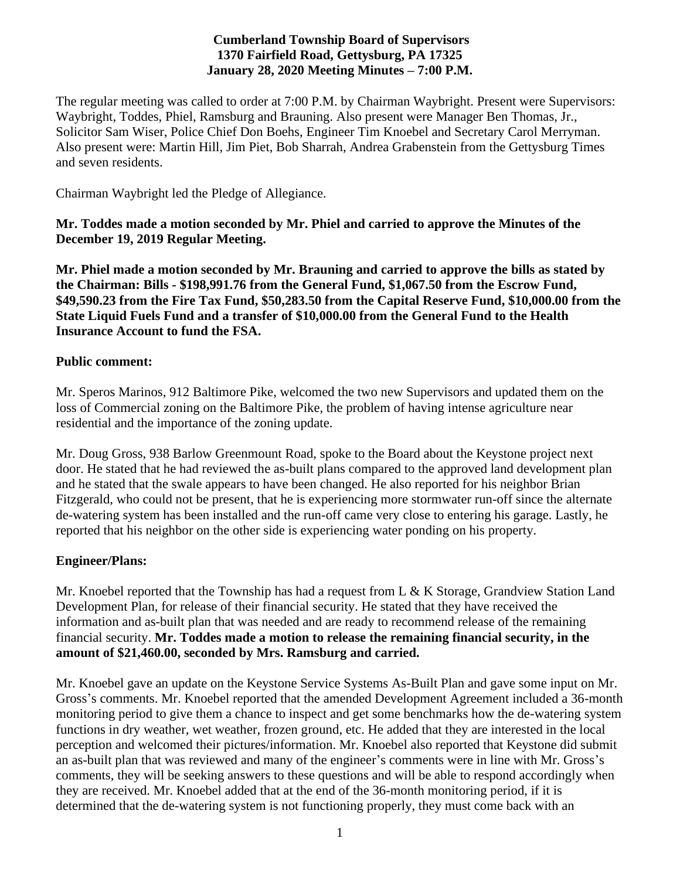## **Cumberland Township Board of Supervisors 1370 Fairfield Road, Gettysburg, PA 17325 January 28, 2020 Meeting Minutes – 7:00 P.M.**

The regular meeting was called to order at 7:00 P.M. by Chairman Waybright. Present were Supervisors: Waybright, Toddes, Phiel, Ramsburg and Brauning. Also present were Manager Ben Thomas, Jr., Solicitor Sam Wiser, Police Chief Don Boehs, Engineer Tim Knoebel and Secretary Carol Merryman. Also present were: Martin Hill, Jim Piet, Bob Sharrah, Andrea Grabenstein from the Gettysburg Times and seven residents.

Chairman Waybright led the Pledge of Allegiance.

**Mr. Toddes made a motion seconded by Mr. Phiel and carried to approve the Minutes of the December 19, 2019 Regular Meeting.**

**Mr. Phiel made a motion seconded by Mr. Brauning and carried to approve the bills as stated by the Chairman: Bills - \$198,991.76 from the General Fund, \$1,067.50 from the Escrow Fund, \$49,590.23 from the Fire Tax Fund, \$50,283.50 from the Capital Reserve Fund, \$10,000.00 from the State Liquid Fuels Fund and a transfer of \$10,000.00 from the General Fund to the Health Insurance Account to fund the FSA.**

## **Public comment:**

Mr. Speros Marinos, 912 Baltimore Pike, welcomed the two new Supervisors and updated them on the loss of Commercial zoning on the Baltimore Pike, the problem of having intense agriculture near residential and the importance of the zoning update.

Mr. Doug Gross, 938 Barlow Greenmount Road, spoke to the Board about the Keystone project next door. He stated that he had reviewed the as-built plans compared to the approved land development plan and he stated that the swale appears to have been changed. He also reported for his neighbor Brian Fitzgerald, who could not be present, that he is experiencing more stormwater run-off since the alternate de-watering system has been installed and the run-off came very close to entering his garage. Lastly, he reported that his neighbor on the other side is experiencing water ponding on his property.

# **Engineer/Plans:**

Mr. Knoebel reported that the Township has had a request from L & K Storage, Grandview Station Land Development Plan, for release of their financial security. He stated that they have received the information and as-built plan that was needed and are ready to recommend release of the remaining financial security. **Mr. Toddes made a motion to release the remaining financial security, in the amount of \$21,460.00, seconded by Mrs. Ramsburg and carried.**

Mr. Knoebel gave an update on the Keystone Service Systems As-Built Plan and gave some input on Mr. Gross's comments. Mr. Knoebel reported that the amended Development Agreement included a 36-month monitoring period to give them a chance to inspect and get some benchmarks how the de-watering system functions in dry weather, wet weather, frozen ground, etc. He added that they are interested in the local perception and welcomed their pictures/information. Mr. Knoebel also reported that Keystone did submit an as-built plan that was reviewed and many of the engineer's comments were in line with Mr. Gross's comments, they will be seeking answers to these questions and will be able to respond accordingly when they are received. Mr. Knoebel added that at the end of the 36-month monitoring period, if it is determined that the de-watering system is not functioning properly, they must come back with an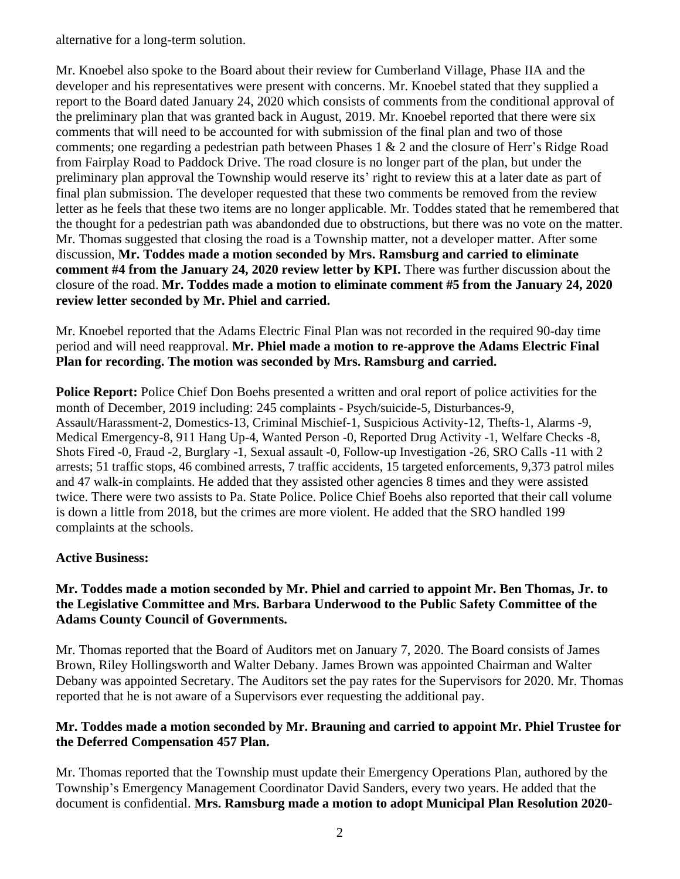alternative for a long-term solution.

Mr. Knoebel also spoke to the Board about their review for Cumberland Village, Phase IIA and the developer and his representatives were present with concerns. Mr. Knoebel stated that they supplied a report to the Board dated January 24, 2020 which consists of comments from the conditional approval of the preliminary plan that was granted back in August, 2019. Mr. Knoebel reported that there were six comments that will need to be accounted for with submission of the final plan and two of those comments; one regarding a pedestrian path between Phases 1 & 2 and the closure of Herr's Ridge Road from Fairplay Road to Paddock Drive. The road closure is no longer part of the plan, but under the preliminary plan approval the Township would reserve its' right to review this at a later date as part of final plan submission. The developer requested that these two comments be removed from the review letter as he feels that these two items are no longer applicable. Mr. Toddes stated that he remembered that the thought for a pedestrian path was abandonded due to obstructions, but there was no vote on the matter. Mr. Thomas suggested that closing the road is a Township matter, not a developer matter. After some discussion, **Mr. Toddes made a motion seconded by Mrs. Ramsburg and carried to eliminate comment** #4 from the January 24, 2020 review letter by KPI. There was further discussion about the closure of the road. **Mr. Toddes made a motion to eliminate comment #5 from the January 24, 2020 review letter seconded by Mr. Phiel and carried.** 

Mr. Knoebel reported that the Adams Electric Final Plan was not recorded in the required 90-day time period and will need reapproval. **Mr. Phiel made a motion to re-approve the Adams Electric Final Plan for recording. The motion was seconded by Mrs. Ramsburg and carried.**

**Police Report:** Police Chief Don Boehs presented a written and oral report of police activities for the month of December, 2019 including: 245 complaints - Psych/suicide-5, Disturbances-9, Assault/Harassment-2, Domestics-13, Criminal Mischief-1, Suspicious Activity-12, Thefts-1, Alarms -9, Medical Emergency-8, 911 Hang Up-4, Wanted Person -0, Reported Drug Activity -1, Welfare Checks -8, Shots Fired -0, Fraud -2, Burglary -1, Sexual assault -0, Follow-up Investigation -26, SRO Calls -11 with 2 arrests; 51 traffic stops, 46 combined arrests, 7 traffic accidents, 15 targeted enforcements, 9,373 patrol miles and 47 walk-in complaints. He added that they assisted other agencies 8 times and they were assisted twice. There were two assists to Pa. State Police. Police Chief Boehs also reported that their call volume is down a little from 2018, but the crimes are more violent. He added that the SRO handled 199 complaints at the schools.

## **Active Business:**

#### **Mr. Toddes made a motion seconded by Mr. Phiel and carried to appoint Mr. Ben Thomas, Jr. to the Legislative Committee and Mrs. Barbara Underwood to the Public Safety Committee of the Adams County Council of Governments.**

Mr. Thomas reported that the Board of Auditors met on January 7, 2020. The Board consists of James Brown, Riley Hollingsworth and Walter Debany. James Brown was appointed Chairman and Walter Debany was appointed Secretary. The Auditors set the pay rates for the Supervisors for 2020. Mr. Thomas reported that he is not aware of a Supervisors ever requesting the additional pay.

## **Mr. Toddes made a motion seconded by Mr. Brauning and carried to appoint Mr. Phiel Trustee for the Deferred Compensation 457 Plan.**

Mr. Thomas reported that the Township must update their Emergency Operations Plan, authored by the Township's Emergency Management Coordinator David Sanders, every two years. He added that the document is confidential. **Mrs. Ramsburg made a motion to adopt Municipal Plan Resolution 2020-**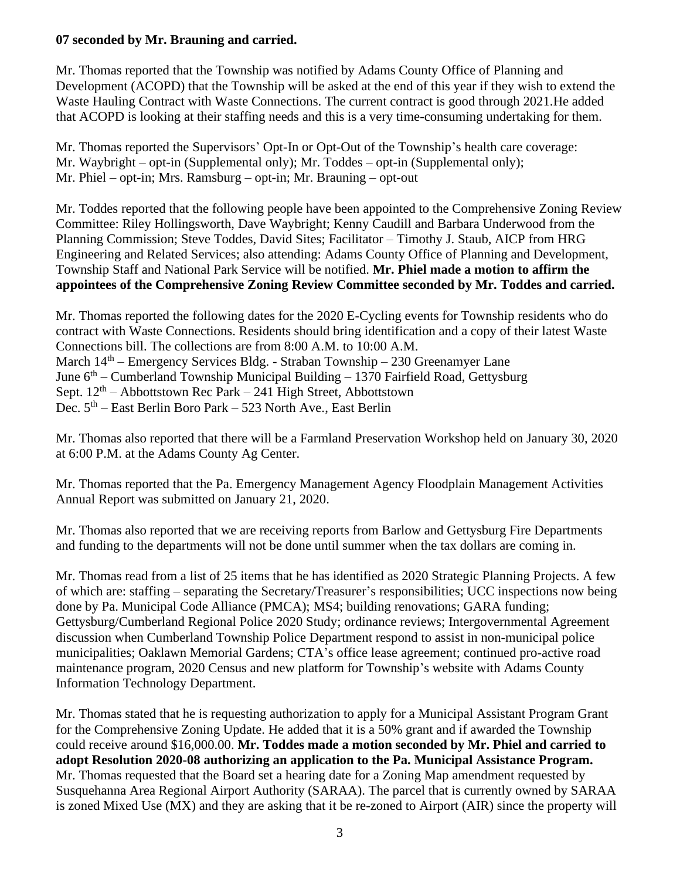### **07 seconded by Mr. Brauning and carried.**

Mr. Thomas reported that the Township was notified by Adams County Office of Planning and Development (ACOPD) that the Township will be asked at the end of this year if they wish to extend the Waste Hauling Contract with Waste Connections. The current contract is good through 2021.He added that ACOPD is looking at their staffing needs and this is a very time-consuming undertaking for them.

Mr. Thomas reported the Supervisors' Opt-In or Opt-Out of the Township's health care coverage: Mr. Waybright – opt-in (Supplemental only); Mr. Toddes – opt-in (Supplemental only); Mr. Phiel – opt-in; Mrs. Ramsburg – opt-in; Mr. Brauning – opt-out

Mr. Toddes reported that the following people have been appointed to the Comprehensive Zoning Review Committee: Riley Hollingsworth, Dave Waybright; Kenny Caudill and Barbara Underwood from the Planning Commission; Steve Toddes, David Sites; Facilitator – Timothy J. Staub, AICP from HRG Engineering and Related Services; also attending: Adams County Office of Planning and Development, Township Staff and National Park Service will be notified. **Mr. Phiel made a motion to affirm the appointees of the Comprehensive Zoning Review Committee seconded by Mr. Toddes and carried.** 

Mr. Thomas reported the following dates for the 2020 E-Cycling events for Township residents who do contract with Waste Connections. Residents should bring identification and a copy of their latest Waste Connections bill. The collections are from 8:00 A.M. to 10:00 A.M. March 14<sup>th</sup> – Emergency Services Bldg. - Straban Township – 230 Greenamyer Lane June 6<sup>th</sup> – Cumberland Township Municipal Building – 1370 Fairfield Road, Gettysburg Sept.  $12<sup>th</sup>$  – Abbottstown Rec Park – 241 High Street, Abbottstown Dec.  $5<sup>th</sup>$  – East Berlin Boro Park – 523 North Ave., East Berlin

Mr. Thomas also reported that there will be a Farmland Preservation Workshop held on January 30, 2020 at 6:00 P.M. at the Adams County Ag Center.

Mr. Thomas reported that the Pa. Emergency Management Agency Floodplain Management Activities Annual Report was submitted on January 21, 2020.

Mr. Thomas also reported that we are receiving reports from Barlow and Gettysburg Fire Departments and funding to the departments will not be done until summer when the tax dollars are coming in.

Mr. Thomas read from a list of 25 items that he has identified as 2020 Strategic Planning Projects. A few of which are: staffing – separating the Secretary/Treasurer's responsibilities; UCC inspections now being done by Pa. Municipal Code Alliance (PMCA); MS4; building renovations; GARA funding; Gettysburg/Cumberland Regional Police 2020 Study; ordinance reviews; Intergovernmental Agreement discussion when Cumberland Township Police Department respond to assist in non-municipal police municipalities; Oaklawn Memorial Gardens; CTA's office lease agreement; continued pro-active road maintenance program, 2020 Census and new platform for Township's website with Adams County Information Technology Department.

Mr. Thomas stated that he is requesting authorization to apply for a Municipal Assistant Program Grant for the Comprehensive Zoning Update. He added that it is a 50% grant and if awarded the Township could receive around \$16,000.00. **Mr. Toddes made a motion seconded by Mr. Phiel and carried to adopt Resolution 2020-08 authorizing an application to the Pa. Municipal Assistance Program.**  Mr. Thomas requested that the Board set a hearing date for a Zoning Map amendment requested by Susquehanna Area Regional Airport Authority (SARAA). The parcel that is currently owned by SARAA is zoned Mixed Use (MX) and they are asking that it be re-zoned to Airport (AIR) since the property will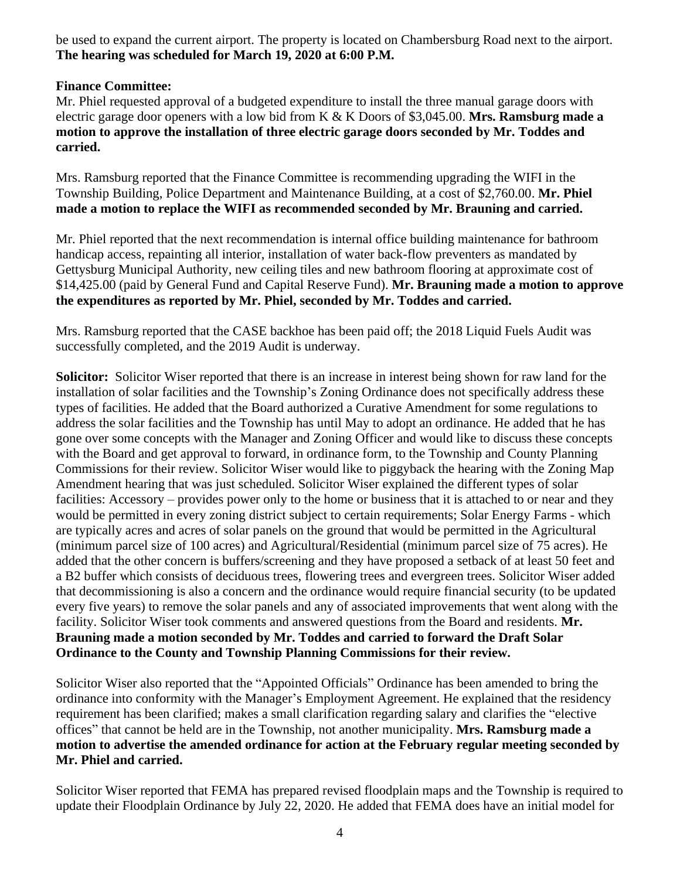be used to expand the current airport. The property is located on Chambersburg Road next to the airport. **The hearing was scheduled for March 19, 2020 at 6:00 P.M.**

## **Finance Committee:**

Mr. Phiel requested approval of a budgeted expenditure to install the three manual garage doors with electric garage door openers with a low bid from K & K Doors of \$3,045.00. **Mrs. Ramsburg made a motion to approve the installation of three electric garage doors seconded by Mr. Toddes and carried.**

Mrs. Ramsburg reported that the Finance Committee is recommending upgrading the WIFI in the Township Building, Police Department and Maintenance Building, at a cost of \$2,760.00. **Mr. Phiel made a motion to replace the WIFI as recommended seconded by Mr. Brauning and carried.**

Mr. Phiel reported that the next recommendation is internal office building maintenance for bathroom handicap access, repainting all interior, installation of water back-flow preventers as mandated by Gettysburg Municipal Authority, new ceiling tiles and new bathroom flooring at approximate cost of \$14,425.00 (paid by General Fund and Capital Reserve Fund). **Mr. Brauning made a motion to approve the expenditures as reported by Mr. Phiel, seconded by Mr. Toddes and carried.** 

Mrs. Ramsburg reported that the CASE backhoe has been paid off; the 2018 Liquid Fuels Audit was successfully completed, and the 2019 Audit is underway.

**Solicitor:** Solicitor Wiser reported that there is an increase in interest being shown for raw land for the installation of solar facilities and the Township's Zoning Ordinance does not specifically address these types of facilities. He added that the Board authorized a Curative Amendment for some regulations to address the solar facilities and the Township has until May to adopt an ordinance. He added that he has gone over some concepts with the Manager and Zoning Officer and would like to discuss these concepts with the Board and get approval to forward, in ordinance form, to the Township and County Planning Commissions for their review. Solicitor Wiser would like to piggyback the hearing with the Zoning Map Amendment hearing that was just scheduled. Solicitor Wiser explained the different types of solar facilities: Accessory – provides power only to the home or business that it is attached to or near and they would be permitted in every zoning district subject to certain requirements; Solar Energy Farms - which are typically acres and acres of solar panels on the ground that would be permitted in the Agricultural (minimum parcel size of 100 acres) and Agricultural/Residential (minimum parcel size of 75 acres). He added that the other concern is buffers/screening and they have proposed a setback of at least 50 feet and a B2 buffer which consists of deciduous trees, flowering trees and evergreen trees. Solicitor Wiser added that decommissioning is also a concern and the ordinance would require financial security (to be updated every five years) to remove the solar panels and any of associated improvements that went along with the facility. Solicitor Wiser took comments and answered questions from the Board and residents. **Mr. Brauning made a motion seconded by Mr. Toddes and carried to forward the Draft Solar Ordinance to the County and Township Planning Commissions for their review.** 

Solicitor Wiser also reported that the "Appointed Officials" Ordinance has been amended to bring the ordinance into conformity with the Manager's Employment Agreement. He explained that the residency requirement has been clarified; makes a small clarification regarding salary and clarifies the "elective offices" that cannot be held are in the Township, not another municipality. **Mrs. Ramsburg made a motion to advertise the amended ordinance for action at the February regular meeting seconded by Mr. Phiel and carried.**

Solicitor Wiser reported that FEMA has prepared revised floodplain maps and the Township is required to update their Floodplain Ordinance by July 22, 2020. He added that FEMA does have an initial model for